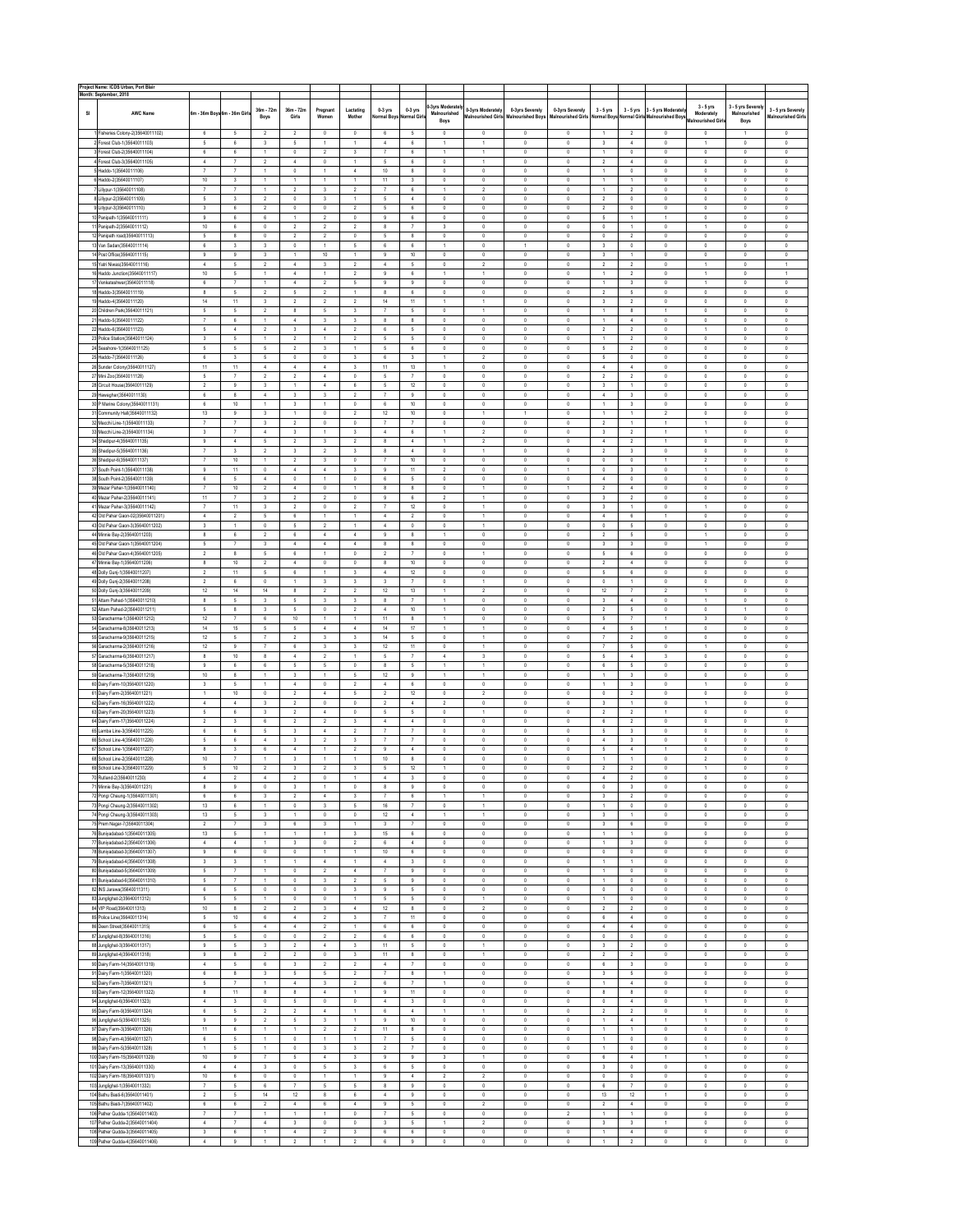|    | Project Name: ICDS Urban, Port Blair<br>Month: September, 2018 |                            |                              |                                |                             |                            |                     |                              |                              |                                        |                                         |                                             |                                      |                                   |                            |                                                              |                                 |                                   |                                          |
|----|----------------------------------------------------------------|----------------------------|------------------------------|--------------------------------|-----------------------------|----------------------------|---------------------|------------------------------|------------------------------|----------------------------------------|-----------------------------------------|---------------------------------------------|--------------------------------------|-----------------------------------|----------------------------|--------------------------------------------------------------|---------------------------------|-----------------------------------|------------------------------------------|
| SI | <b>AWC Name</b>                                                | 6m - 36m Boys 6m - 36m Gir |                              | 36m - 72m<br>Boys              | 36m - 72m<br>Girls          | Pregnant<br>Women          | Lactatino<br>Mother | $0-3$ yrs<br>lormal Boys     | 0-3 yrs<br><b>Iormal Gir</b> | <b>3yrs Moderat</b><br>Malnourished    | 0-3vrs Moderately<br>Malnourished Girls | 0-3yrs Severely<br><b>Malnourished Boys</b> | 0-3yrs Severely<br>Malnourished Girl | $3 - 5$ vrs<br>Normal Boy         | $3 - 5$ vrs                | 3 - 5 yrs Moderatel<br><b>Normal Girls Malnourished Boys</b> | $3 - 5$ yrs<br>Moderately       | 3 - 5 yrs Severel<br>Malnourished | 3 - 5 yrs Severely<br>Malnourished Girls |
|    | 1 Fisheries Colony-2(35640011102)                              | 6                          | 5                            | $\sqrt{2}$                     | $\sqrt{2}$                  | $\mathsf{O}$               | $\mathsf{O}$        | 6                            | $\mathsf{s}$                 | Boys<br>$\,$ 0                         | $\mathbb O$                             | $\mathbb O$                                 | $\mathbf 0$                          | $\mathbf{1}$                      | $\overline{2}$             | $\mathbb O$                                                  | Malnourished Gir<br>$\mathbb O$ | Boys<br>1                         | $\mathsf{O}$                             |
|    | 2 Forest Club-1(35640011103)                                   | $\mathsf{s}$               | 6                            | 3                              | $\mathsf{s}$                | $\mathbf{1}$               | 1                   | $\sqrt{4}$                   | $\boldsymbol{6}$             | 1                                      | 1                                       | $\mathbb O$                                 | $\mathbb O$                          | 3                                 | $\sqrt{4}$                 | $\mathbf 0$                                                  | $\mathbf{1}$                    | $\mathbb O$                       | $\mathsf{O}$                             |
| 3  | Forest Club-2(35640011104)                                     | $\,6\,$                    | 6                            | $\ddot{\phantom{1}}$           | $\mathbb O$                 | $\sqrt{2}$                 | $\mathbf{3}$        | 7                            | $\boldsymbol{6}$             | 1                                      | $\mathbf{1}$                            | $\mathbb O$                                 | $\mathbb O$                          | 1                                 | $\mathbb O$                | $\mathbf 0$                                                  | $\mathbb O$                     | $\mathbb O$                       | 0                                        |
|    | 4 Forest Club-3(35640011105)                                   | $\,$ 4 $\,$                | $\tau$                       | $\sqrt{2}$                     | $\sqrt{4}$                  | $\mathbb O$                | 1                   | 5                            | $\boldsymbol{6}$             | $\mathbb O$                            | 1                                       | $\ddot{\text{o}}$                           | $\mathbb O$                          | $\,2\,$                           | $\sqrt{4}$                 | $\mathbf 0$                                                  | $\mathbb O$                     | $\mathbb O$                       | 0                                        |
| 6  | Haddo-1(35640011106)                                           | $\overline{t}$             | $\tau$                       | 1                              | $\mathbb O$                 | 1                          | $\sqrt{4}$          | $10$                         | $\bf{8}$                     | $\mathbb O$                            | $\mathbb O$                             | $\mathbb O$                                 | $\mathbb O$                          | 1                                 | $\mathbb O$                | $\mathbf 0$                                                  | $\mathbb O$                     | $\mathbb O$                       | 0                                        |
|    | Haddo-2(35640011107)                                           | $10\,$                     | 3                            | 1                              | $\mathbf{1}$                | 1                          | 1                   | 11                           | $\sqrt{3}$                   | $\mathbb O$                            | $\mathbb O$                             | $\mathbb O$                                 | $\mathbb O$                          | 1                                 | 1                          | $\mathbf 0$                                                  | $\mathbb O$                     | $\mathbb O$                       | 0                                        |
|    | Lillypur-1(35640011108)                                        | $\overline{\imath}$        | $\tau$                       | $\ddot{\phantom{1}}$           | $\sqrt{2}$                  | $\sqrt{3}$<br>$\sqrt{3}$   | $\,2\,$             | $\overline{7}$               | $\boldsymbol{6}$             | 1                                      | $\overline{2}$                          | $\mathbf 0$<br>$\mathbb O$                  | $\mathbb O$                          | 1<br>$\,2\,$                      | $\overline{2}$             | $\mathbf 0$                                                  | $\,0\,$                         | $\mathbb O$                       | 0                                        |
|    | 8 Lillypur-2(35640011109)<br>9 Lillypur-3(35640011110)         | $\mathsf{s}$<br>$\sqrt{3}$ | 3<br>6                       | $\sqrt{2}$<br>$\sqrt{2}$       | $\mathbb O$<br>$\mathbb O$  | $\mathbb O$                | 1<br>$\overline{2}$ | 5<br>5                       | $\boldsymbol{4}$<br>6        | $\mathbb O$<br>$\mathbb O$             | 0<br>$\mathbb O$                        | $\mathbb O$                                 | $\mathbb O$<br>$\mathbb O$           | $\,2\,$                           | $\mathbb O$<br>$\mathbb O$ | $\mathbf 0$<br>$\mathbf 0$                                   | $\,0\,$<br>$\,0\,$              | $\mathbb O$<br>$\mathbb O$        | 0<br>0                                   |
|    | 10 Panipath-1(35640011111)                                     | $^{\rm 9}$                 | 6                            | 6                              | $\overline{1}$              | $\sqrt{2}$                 | $\mathbb O$         | 9                            | 6                            | $\mathbb O$                            | $\mathbb O$                             | $\mathbf 0$                                 | $\mathbb O$                          | 5                                 | 1                          | $\overline{1}$                                               | $\mathbb O$                     | $\mathbb O$                       | 0                                        |
|    | 11 Panipath-2(35640011112)                                     | $10\,$                     | 6                            | $\mathbb O$                    | $\sqrt{2}$                  | $\overline{2}$             | $\,2\,$             | 8                            | $\overline{t}$               | 3                                      | 0                                       | $\ddot{\text{o}}$                           | $\mathbb O$                          | $\mathbb O$                       | 1                          | $\mathbf 0$                                                  | $\mathbf{1}$                    | $\mathbb O$                       | 0                                        |
|    | 12 Panipath road(35640011113)                                  | $\mathsf{s}$               | $^{\rm 8}$                   | $\mathbb O$                    | $\sqrt{2}$                  | $\,2\,$                    | $\mathbb O$         | 5                            | $^{\rm 8}$                   | $\mathbb O$                            | $\mathsf{O}$                            | $\mathbb O$                                 | $\mathbb O$                          | $\mathbb O$                       | $\overline{2}$             | $\mathbf 0$                                                  | $\,0\,$                         | $\mathbb O$                       | 0                                        |
|    | 13 Van Sadan(35640011114)                                      | $_{\rm 6}$                 | 3                            | 3                              | $\mathbb O$                 | $\overline{1}$             | 5                   | 6                            | 6                            | 1                                      | $\mathbb O$                             | $\ddot{\phantom{1}}$                        | $\mathbb O$                          | 3                                 | $\mathbb O$                | $\mathbf 0$                                                  | $\mathbb O$                     | $\mathbb O$                       | 0                                        |
|    | 14 Post Office(35640011115)                                    | $^{\rm 9}$                 | $\mathsf{9}$                 | $\mathsf 3$                    | $\overline{1}$              | $10\,$                     | $\mathbf{1}$        | 9                            | $10\,$                       | $\mathbb O$                            | $\mathbb O$                             | $\mathbb O$                                 | $\mathbb O$                          | 3                                 | 1                          | $\mathbf 0$                                                  | $\,0\,$                         | $\mathbb O$                       | $\mathbb O$                              |
|    | 15 Yatri Niwas(35640011116)                                    | $\,$ 4 $\,$                | $\mathsf{s}$                 | $\,2$                          | $\sqrt{4}$                  | $\sqrt{3}$                 | $\,2\,$             | $\sqrt{4}$                   | $\mathsf{s}$                 | $\mathbb O$                            | $\overline{2}$                          | $\mathbb O$                                 | $\mathbb O$                          | $\,2\,$                           | $\overline{2}$             | $\mathbf 0$                                                  | 1                               | $\mathbb O$                       | 1                                        |
|    | 16 Haddo Junction(35640011117)                                 | $10\,$                     | $\mathsf{s}$                 | 1                              | $\sqrt{4}$                  | 1                          | $\overline{2}$      | 9                            | 6                            | 1                                      | 1                                       | $\mathbb O$                                 | $\mathbb O$                          | 1                                 | $\overline{2}$             | $\mathbf 0$                                                  | $\ddot{\phantom{1}}$            | $\mathbb O$                       | 1                                        |
|    | 17 Venkateshwar(35640011118)                                   | 6                          | $\tau$                       | $\ddot{\phantom{1}}$           | $\sqrt{4}$                  | $\sqrt{2}$                 | 5                   | 9                            | $^{\rm 9}$                   | $\mathbb O$                            | $\mathbb O$                             | $\mathbf 0$                                 | $\mathbb O$                          | 1                                 | $\mathbf{3}$               | $\mathbf 0$                                                  | 1                               | $\mathbb O$                       | 0                                        |
|    | 18 Haddo-3(35640011119)                                        | 8                          | $\mathsf{s}$                 | $\sqrt{2}$                     | $\mathsf{s}$                | $\sqrt{2}$                 | 1                   | 8                            | $\boldsymbol{6}$             | $\mathbb O$                            | $\mathbb O$                             | $\mathbf 0$                                 | $\mathbb O$                          | $\,2\,$                           | 5                          | $\mathbf 0$                                                  | $\mathbb O$                     | $\mathbb O$                       | 0                                        |
|    | 19 Haddo-4(35640011120)                                        | $14\,$                     | 11                           | 3                              | $\sqrt{2}$                  | $\,2\,$                    | $\,2\,$             | $14\,$                       | $11\,$                       | 1                                      | 1                                       | $\mathbb O$                                 | $\mathbb O$                          | $\,$ 3 $\,$                       | $\,2\,$                    | $\mathbf 0$                                                  | $\mathsf{O}$                    | $\mathbb O$                       | 0                                        |
|    | 20 Children Park(35640011121)                                  | $\mathsf{s}$               | $\mathsf{s}$                 | $\overline{2}$                 | $^{\rm 8}$                  | $\mathsf{s}$               | 3                   | $\overline{7}$               | $\mathsf{s}$                 | $\mathbb O$                            | 1                                       | $\mathbb O$                                 | $\mathbb O$                          | 1                                 | 8                          | $\mathbf{1}$                                                 | $\mathbb O$                     | $\mathbb O$                       | 0                                        |
|    | 21 Haddo-5(35640011122)                                        | $\overline{\imath}$        | 6                            | $\ddot{\phantom{1}}$           | $\sqrt{4}$                  | $\sqrt{3}$                 | 3                   | 8                            | $^{\rm 8}$                   | $\mathbb O$                            | $\mathbb O$                             | $\mathbf 0$                                 | $\mathbb O$                          | 1                                 | $\sqrt{4}$                 | $\mathbf 0$                                                  | $\mathbb O$                     | $\mathbb O$                       | 0                                        |
|    | 22 Haddo-6(35640011123)                                        | $\mathsf{s}$               | $\boldsymbol{4}$             | $\sqrt{2}$                     | $\sqrt{3}$                  | $\sqrt{4}$                 | $\,2\,$             | 6                            | $\mathsf{s}$                 | 0                                      | $\mathbb O$                             | $\ddot{\text{o}}$                           | $\mathbb O$                          | $\,2\,$                           | $\overline{2}$             | $\mathbf 0$                                                  | $\mathbf{1}$                    | $\mathbb O$                       | 0                                        |
|    | 23 Police Station(35640011124)                                 | $\sqrt{3}$                 | $\mathsf{s}$                 | 1                              | $\sqrt{2}$                  | $\mathbf{1}$               | $\overline{2}$      | 5                            | $\mathsf{s}$                 | $\mathbb O$                            | $\mathsf{O}$                            | $\mathbb O$                                 | $\mathbb O$                          | 1                                 | $\overline{2}$             | $\mathbf 0$                                                  | $\,0\,$                         | $\mathbb O$                       | 0                                        |
|    | 24 Seashore-1(35640011125)                                     | $\mathsf{s}$               | $\mathsf{s}$                 | 5                              | $\sqrt{2}$                  | $\sqrt{3}$                 | 1                   | 5                            | 6                            | $\mathbb O$                            | $\mathbb O$                             | $\mathbf 0$                                 | $\mathbb O$                          | 5                                 | $\overline{2}$             | $\mathbf 0$                                                  | $\mathbb O$                     | $\mathbb O$                       | 0                                        |
|    | 25 Haddo-7(35640011126)                                        | $\,$ 6                     | $\mathsf 3$                  | $\mathsf s$                    | $\mathbb O$                 | $\mathbb O$                | $\mathbf{3}$        | 6                            | $\mathsf 3$                  | 1                                      | $\overline{2}$                          | $\mathbf 0$                                 | $\mathbb O$                          | 5                                 | $\mathbb O$                | $\mathbf 0$                                                  | $\mathbb O$                     | $\mathbb O$                       | 0                                        |
|    | 26 Sunder Colony(35640011127)                                  | $11\,$                     | 11                           | $\boldsymbol{4}$               | $\sqrt{4}$                  | $\,$ 4 $\,$                | 3                   | 11                           | 13                           | 1                                      | $\mathbb O$                             | $\mathbb O$                                 | $\mathbb O$                          | $\sqrt{4}$                        | $\sqrt{4}$                 | $\mathbf 0$                                                  | $\,0\,$                         | $\mathbb O$                       | 0                                        |
|    | 27 Mini Zoo(35640011128)                                       | $\mathsf{s}$               | $\overline{7}$               | $\,2$                          | $\sqrt{2}$                  | $\,$ 4 $\,$                | $\mathbb O$         | 5                            | $\bar{7}$                    | $\mathbb O$                            | $\mathbb O$                             | $\mathbb O$                                 | $\mathbb O$                          | $\,2\,$                           | $\overline{2}$             | $\mathbf 0$                                                  | $\,0\,$                         | $\mathbb O$                       | 0                                        |
|    | 28 Circuit House(35640011129)                                  | $\overline{2}$             | $\mathsf{9}$                 | $\mathsf 3$                    | $\overline{1}$              | $\sqrt{4}$                 | 6                   | 5                            | $12\,$                       | $\mathbb O$                            | $\mathbb O$                             | $\mathbf 0$                                 | $\mathbb O$                          | 3                                 | 1                          | $\mathbf 0$                                                  | $\,0\,$                         | $\mathbb O$                       | 0                                        |
|    | 29 Hawaghar(35640011130)                                       | $\,$ 6                     | $^{\rm 8}$                   | $\boldsymbol{4}$               | $\sqrt{3}$                  | $\sqrt{3}$                 | $\,2\,$             | 7                            | $\boldsymbol{9}$             | 0                                      | 0                                       | $\ddot{\text{o}}$                           | $\mathbb O$                          | $\sqrt{4}$                        | $\mathbf{3}$               | $\mathbf 0$                                                  | $\mathbb O$                     | $\mathbb O$                       | 0                                        |
|    | 30 P Marine Colony(35640011131)                                | 6                          | $10\,$                       | 1                              | $\sqrt{3}$                  | 1                          | $\mathbb O$         | 6                            | $10\,$                       | $\mathbb O$                            | $\mathsf{O}$                            | $\mathbb O$                                 | $\mathbb O$                          | 1                                 | $\mathbf{3}$               | $\mathbf 0$                                                  | $\,0\,$                         | $\mathbb O$                       | 0                                        |
|    | 31 Community Hall(35640011132)                                 | $13\,$                     | $\mathsf{9}$                 | 3                              | $\mathbf{1}$                | $\mathsf{O}$               | $\overline{2}$      | $12\,$                       | $10\,$                       | $\mathbb O$                            | 1                                       | $\ddot{\phantom{1}}$                        | $\mathbb O$                          | 1                                 | 1                          | $\sqrt{2}$                                                   | $\,0\,$                         | $\mathbb O$                       | 0                                        |
|    | 32 Macchi Line-1(35640011133)                                  | $\overline{t}$             | $\tau$                       | $\mathsf 3$                    | $\sqrt{2}$                  | $\mathbb O$                | $\mathbb O$         | $\overline{7}$               | $\overline{7}$               | $\mathbb O$                            | $\mathbb O$                             | $\mathbb O$                                 | $\mathbb O$                          | $\sqrt{2}$                        | 1                          | $\mathbf{1}$                                                 | $\mathbf{1}$                    | $\mathbb O$                       | 0                                        |
|    | 33 Macchi Line-2(35640011134)                                  | $\mathsf 3$                | $\tau$                       | $\boldsymbol{4}$               | $\mathsf 3$                 | $\mathbf{1}$               | 3                   | $\sqrt{4}$                   | 6                            | 1                                      | $\,2\,$                                 | $\mathbb O$                                 | $\mathbb O$                          | $\,$ 3 $\,$                       | $\overline{2}$             | $\mathbf{1}$                                                 | $\ddot{\phantom{1}}$            | $\mathbb O$                       | 0                                        |
|    | 34 Shadipur-4(35640011135)                                     | $9\,$                      | $\sim$                       | 5                              | $\sqrt{2}$                  | $\sqrt{3}$                 | $\overline{2}$      | 8                            | $\boldsymbol{4}$             | 1                                      | $\,2\,$                                 | $\mathbb O$                                 | $\mathbb O$                          | $\sqrt{4}$                        | $\overline{2}$             | $\mathbf{1}$                                                 | $\mathbb O$                     | $\mathbb O$                       | 0                                        |
|    | 35 Shadipur-5(35640011136)                                     | $\overline{t}$             | $\mathsf 3$                  | $\,2$                          | $\sqrt{3}$                  | $\sqrt{2}$                 | $\mathbf{3}$        | 8                            | $\sqrt{4}$                   | $\mathbb O$                            | 1                                       | $\mathbf 0$                                 | $\mathbb O$                          | $\,2\,$                           | $\mathbf{3}$               | $\mathbf 0$                                                  | $\mathbb O$                     | $\mathbb O$                       | 0                                        |
|    | 36 Shadipur-6(35640011137)                                     | 7                          | $10\,$                       | $\ddot{\phantom{1}}$           | $\sqrt{2}$                  | $\sqrt{3}$                 | $\mathbb O$         | 7                            | $10\,$                       | $\mathbb O$                            | 0                                       | $\ddot{\text{o}}$                           | $\mathbb O$                          | $\mathbb O$                       | $\mathbb O$                | $\overline{1}$                                               | $\,2\,$                         | $\mathbb O$                       | 0                                        |
|    | 37 South Point-1(35640011138)                                  | $^{\rm 9}$                 | 11                           | $\mathbb O$                    | $\sqrt{4}$                  | $\,$ 4 $\,$                | 3                   | 9                            | $11\,$                       | $\overline{2}$                         | $\mathsf{O}$                            | $\mathbb O$                                 | $\ddot{\phantom{1}}$                 | $\mathbb O$                       | $\mathbf{3}$               | $\mathbf 0$                                                  | 1                               | $\mathbb O$                       | 0                                        |
|    | 38 South Point-2(35640011139)                                  | $_{\rm 6}$                 | $\mathsf{s}$                 | $\sqrt{4}$                     | $\mathbb O$                 | 1                          | $\mathbb O$         | 6                            | $\mathsf{s}$                 | $\mathbb O$                            | $\mathbb O$                             | $\mathbb O$                                 | $\mathbb O$                          | $\sqrt{4}$                        | $\mathbb O$                | $\mathbf 0$                                                  | $\mathbb O$                     | $\mathbb O$                       | 0                                        |
|    | 39 Mazar Pahar-1(35640011140)                                  | $\overline{t}$             | $10\,$                       | $\sqrt{2}$                     | $\sqrt{4}$                  | $\mathbb O$                | $\mathbf{1}$        | 8                            | $^{\rm 8}$                   | $\mathbb O$                            | 1                                       | $\mathbf 0$                                 | $\mathbf{1}$                         | $\,2\,$                           | $\sqrt{4}$                 | $\mathbf 0$                                                  | $\mathbb O$                     | $\mathbb O$                       | 0                                        |
|    | 40 Mazar Pahar-2(35640011141)                                  | $11\,$                     | $\tau$                       | 3                              | $\sqrt{2}$                  | $\,2\,$                    | $\mathbb O$         | 9                            | $\boldsymbol{6}$             | $\overline{2}$                         | 1                                       | $\mathbb O$                                 | $\mathbb O$                          | 3                                 | $\overline{2}$             | $\mathbf 0$                                                  | $\mathsf{O}$                    | $\mathbb O$                       | 0                                        |
|    | 41 Mazar Pahar-3(35640011142)                                  | $\overline{t}$             | 11                           | 3                              | $\sqrt{2}$                  | $\mathsf{O}$               | $\overline{2}$      | 7                            | $12\,$                       | $\mathbb O$                            | 1                                       | $\mathbb O$                                 | $\mathbb O$                          | $\,$ 3 $\,$                       | 1                          | $\mathbf 0$                                                  | $\ddot{\phantom{1}}$            | $\mathbb O$                       | 0                                        |
|    | 42 Old Pahar Gaon-02(35640011201)                              | $\,$ 4 $\,$                | $\sqrt{2}$                   | 5                              | $\,6\,$                     | $\mathbf{1}$               | 1                   | $\sim$                       | $\sqrt{2}$                   | $\mathbb O$                            | 1                                       | $\mathbf 0$                                 | $\mathbb O$                          | $\sqrt{4}$                        | 6                          | $\mathbf{1}$                                                 | $\,0\,$                         | $\mathbb O$                       | 0                                        |
|    | 43 Old Pahar Gaon-3(35640011202)                               | $\overline{\mathbf{3}}$    | $\overline{1}$               | $\mathbb O$                    | $\mathsf{s}$                | $\sqrt{2}$                 | 1                   | $\sqrt{4}$                   | $\,0\,$                      | $\mathbb O$                            | 1                                       | $\mathbf 0$                                 | $\mathbb O$                          | $\mathbb O$                       | 5                          | $\mathbf 0$                                                  | $\,0\,$                         | $\mathbb O$                       | 0                                        |
|    | 44 Minnie Bay-2(35640011203)                                   | $\bf8$                     | 6                            | $\sqrt{2}$                     | $\,6\,$                     | $\sqrt{4}$                 | $\sqrt{4}$          | 9                            | $^{\rm 8}$                   | 1                                      | $\mathbb O$                             | $\mathbb O$                                 | $\mathbb O$                          | $\,2\,$                           | 5                          | $\mathbf 0$                                                  | $\ddot{\phantom{1}}$            | $\mathbb O$                       | 0                                        |
|    | 45 Old Pahar Gaon-1(35640011204)                               | $\mathsf{s}$               | $\overline{7}$               | 3                              | $\sqrt{4}$                  | $\,$ 4 $\,$                | $\sqrt{4}$          | 8                            | $\bf{8}$                     | $\mathbb O$                            | $\mathbb O$                             | $\mathbb O$                                 | $\mathbb O$                          | 3                                 | $\mathbf{3}$               | $\mathbf 0$                                                  | $\mathbf{1}$                    | $\mathbb O$                       | 0                                        |
|    | 46 Old Pahar Gaon-4(35640011205)                               | $\overline{2}$             | $^{\rm 8}$                   | $\mathsf s$                    | $\,6\,$                     | $\overline{1}$             | $\mathbb O$         | $\overline{2}$               | $\bar{7}$                    | $\mathbb O$                            | 1                                       | $\mathbf 0$                                 | $\mathbb O$                          | 5                                 | 6                          | $\mathbf 0$                                                  | $\,0\,$                         | $\mathbb O$                       | 0                                        |
|    | 47 Minnie Bay-1(35640011206)                                   | 8                          | $10\,$                       | $\sqrt{2}$                     | $\sqrt{4}$                  | $\mathbb O$                | $\mathbb O$         | 8                            | $10\,$                       | $\mathbb O$                            | 0                                       | $\ddot{\text{o}}$                           | $\mathbb O$                          | $\,2\,$                           | $\sqrt{4}$                 | $\mathbf 0$                                                  | $\,0\,$                         | $\mathbb O$                       | 0                                        |
|    | 48 Dolly Gunj-1(35640011207)                                   | $\overline{2}$             | 11                           | 5                              | $\,6\,$                     | 1                          | 3                   | $\sqrt{4}$                   | $12\,$                       | $\mathbb O$                            | $\mathsf{O}$                            | $\mathbb O$                                 | $\mathbb O$                          | 5                                 | 6                          | $\mathbf 0$                                                  | $\,0\,$                         | $\mathbb O$                       | 0                                        |
|    | 49 Dolly Gunj-2(35640011208)                                   | $\overline{2}$             | 6                            | $\mathbb O$                    | $\mathbf{1}$                | $\sqrt{3}$                 | 3                   | 3                            | $\overline{t}$               | $\mathbb O$                            | 1                                       | $\mathbf 0$                                 | $\mathbb O$                          | $\mathbb O$                       | 1                          | $\mathbf 0$                                                  | $\,0\,$                         | $\mathbb O$                       | 0                                        |
|    | 50 Dolly Gunj-3(35640011209)                                   | $12\,$                     | $14\,$                       | $14\,$                         | $^{\rm 8}$                  | $\overline{2}$             | $\,2\,$             | $12\,$                       | $13\,$                       | -1                                     | $\overline{2}$                          | $\mathbf 0$                                 | $\mathbb O$                          | $12\,$                            | 7                          | $\sqrt{2}$                                                   | $\mathbf{1}$                    | $\mathbb O$                       | 0                                        |
|    | 51 Attam Pahad-1(35640011210)                                  | $\bf8$                     | $\mathsf{s}$                 | $\mathsf 3$                    | $\mathsf{s}$                | $\sqrt{3}$                 | 3                   | 8                            | $\overline{t}$               | 1                                      | $\mathbb O$                             | $\mathbb O$                                 | $\mathbb O$                          | $\,$ 3 $\,$                       | $\sqrt{4}$                 | $\mathbf 0$                                                  | 1                               | $\mathbb O$                       | 0                                        |
|    | 52 Attam Pahad-2(35640011211)                                  | $\mathsf{s}$               | $^{\rm 8}$                   | 3                              | $\mathsf{s}$                | $\mathbb O$                | $\overline{2}$      | $\overline{4}$               | $10\,$                       | 1                                      | $\mathbb O$                             | $\mathbb O$                                 | $\mathbb O$                          | $\,2\,$                           | 5                          | $\mathbf 0$                                                  | $\mathbb O$                     | $\ddot{\phantom{1}}$              | 0                                        |
|    | 53 Garacharma-1(35640011212)                                   | $12\,$                     | $\tau$                       | 6                              | $10\,$                      | $\overline{1}$             | 1                   | 11                           | $\bf 8$                      | -1                                     | $\mathbb O$                             | $\mathbf 0$                                 | $\mathbb O$                          | 5                                 | $\overline{7}$             | $\overline{1}$                                               | $\overline{\mathbf{3}}$         | $\mathbb O$                       | 0                                        |
|    | 54 Garacharma-8(35640011213)                                   | $14\,$                     | $15\,$                       | 5                              | $\mathsf{s}$                | $\sqrt{4}$                 | $\sqrt{4}$          | $14\,$                       | $17\,$                       | 1                                      | $\mathbf{1}$                            | $\ddot{\text{o}}$                           | $\mathbb O$                          | $\sqrt{4}$                        | 5                          | $\overline{1}$                                               | $\,0\,$                         | $\mathbb O$                       | 0                                        |
|    | 55 Garacharma-9(35640011215)                                   | $12\,$                     | $\mathsf{s}$                 | $\scriptstyle\rm 7$            | $\sqrt{2}$                  | $\sqrt{3}$                 | 3                   | $14\,$                       | $\mathsf{s}$                 | $\mathbb O$                            | 1                                       | $\mathbb O$                                 | $\mathbb O$                          | $\overline{7}$                    | $\,2\,$                    | $\mathbf 0$                                                  | $\,0\,$                         | $\mathbb O$                       | 0                                        |
|    | 56 Garacharma-2(35640011216)                                   | $12\,$                     | $\mathsf{9}$                 | $\overline{7}$                 | $\,6\,$                     | $\sqrt{3}$                 | 3                   | $12\,$                       | 11                           | $\mathbb O$                            | $\mathbf{1}$                            | $\mathbb O$                                 | $\mathbb O$                          | $\overline{\mathfrak{r}}$         | 5                          | $\mathbf 0$                                                  | $\mathbf{1}$                    | $\mathbb O$                       | 0                                        |
|    | 57 Garacharma-6(35640011217)                                   | 8                          | $10\,$                       | $\bf8$                         | $\sqrt{4}$                  | $\sqrt{2}$                 | 1                   | 5                            | $\bar{7}$                    | $\sqrt{4}$                             | $\mathbf{3}$                            | $\mathbf 0$                                 | $\mathbb O$                          | 5                                 | $\sqrt{4}$                 | $\mathsf 3$                                                  | $\,0\,$                         | $\mathbb O$                       | 0                                        |
|    | 58 Garacharma-5(35640011218)<br>59 Garacharma-7(35640011219)   | $^{\rm 9}$<br>$10\,$       | 6<br>$^{\rm 8}$              | 6                              | $\mathsf{s}$<br>$\sqrt{3}$  | $\sf 5$<br>1               | $\mathbb O$         | 8<br>$12\,$                  | $\mathsf{s}$<br>$^{\rm 9}$   | 1                                      | $\mathbf{1}$                            | $\mathbb O$<br>$\mathbb O$                  | $\mathbb O$<br>$\mathbb O$           | 6                                 | 5<br>$\mathbf{3}$          | $\mathbf 0$<br>$\mathbf 0$                                   | $\,0\,$<br>$\,0\,$              | $\mathbb O$<br>$\mathbb O$        | 0<br>0                                   |
|    | 60 Dairy Farm-10(35640011220)                                  | $\ensuremath{\mathsf{3}}$  | $\mathsf{s}$                 | 1<br>$\ddot{\phantom{1}}$      | $\sqrt{4}$                  | $\mathbb O$                | 5<br>$\overline{2}$ | $\sqrt{4}$                   | $\boldsymbol{6}$             | 1<br>$\mathbb O$                       | 1<br>$\mathbb O$                        | $\mathbf 0$                                 | $\mathbb O$                          | 1<br>1                            | $\mathbf{3}$               | $\mathbf 0$                                                  | $\overline{1}$                  | $\mathbb O$                       | 0                                        |
|    | 61 Dairy Farm-2(35640011221)                                   | 1                          | $10\,$                       | $\mathbb O$                    | $\sqrt{2}$                  | $\sqrt{4}$                 | 5                   | $\overline{2}$               | $12\,$                       | $\mathbb O$                            | $\sqrt{2}$                              | $\ddot{\text{o}}$                           | $\mathbb O$                          | $\mathbb O$                       | $\overline{2}$             | $\mathbf 0$                                                  | $\mathbb O$                     | $\mathbb O$                       | 0                                        |
|    | 62 Dairy Farm-16(35640011222)                                  | $\,$ 4 $\,$                | $\boldsymbol{4}$             | 3                              | $\sqrt{2}$                  | $\mathsf{O}$               | $\mathbb O$         | $\overline{2}$               | $\boldsymbol{4}$             | $\overline{2}$                         | $\mathbb O$                             | $\mathbb O$                                 | $\mathbb O$                          | $\,$ 3 $\,$                       | 1                          | $\mathbf 0$                                                  | 1                               | $\mathbb O$                       | 0                                        |
|    | 63 Dairy Farm-20(35640011223)                                  | $\mathsf{s}$               | 6                            | 3                              | $\sqrt{2}$                  | $\sqrt{4}$                 | $\mathbb O$         | 5                            | 5                            | $\mathbb O$                            | $\mathbf{1}$                            | $\mathbb O$                                 | $\mathbb O$                          | $\,2\,$                           | $\overline{2}$             | $\mathbf{1}$                                                 | $\mathbb O$                     | $\mathbb O$                       | 0                                        |
|    | 64 Dairy Farm-17(35640011224)                                  | $\overline{2}$             | $\mathsf 3$                  | 6                              | $\sqrt{2}$                  | $\sqrt{2}$                 | $\mathbf{3}$        | $\sqrt{4}$                   | $\boldsymbol{4}$             | $\mathbb O$                            | $\mathbb O$                             | $\mathbf 0$                                 | $\mathbb O$                          | 6                                 | $\overline{2}$             | $\mathbf 0$                                                  | $\mathbb O$                     | $\mathbb O$                       | 0                                        |
|    | 65 Lamba Line-3(35640011225)                                   | $\,$ 6                     | 6                            | 5                              | $\sqrt{3}$                  | $\sqrt{4}$                 | $\overline{2}$      | 7                            | 7                            | 0                                      | 0                                       | $\mathbf 0$                                 | $\mathbb O$                          | 5                                 | $\mathbf{3}$               | $\mathbf 0$                                                  | $\,0\,$                         | $\mathbb O$                       | 0                                        |
|    | 66 School Line-4(35640011226)                                  | $\mathsf{s}$               | 6                            | $\overline{4}$                 | $\sqrt{3}$                  | $\overline{2}$             | 3                   | 7                            | $\overline{t}$               | 0                                      | 0                                       | $\mathbb O$                                 | $\mathbb O$                          | $\sqrt{4}$                        | $\mathbf{3}$               | $\mathbf 0$                                                  | $\,0\,$                         | $\mathbb O$                       | 0                                        |
|    | 67 School Line-1(35640011227)                                  | 8                          | 3                            | 6                              | $\sqrt{4}$                  | $\mathbf{1}$               | $\overline{2}$      | 9                            | $\ddot{4}$                   | 0                                      | 0                                       | $\ddot{\text{o}}$                           | $\mathbb O$                          | 5                                 | $\sqrt{4}$                 | $\overline{1}$                                               | $\,0\,$                         | $\mathbb O$                       | 0                                        |
|    | 68 School Line-2(35640011228)                                  | $10\,$                     | $\boldsymbol{7}$             | $\ddot{\phantom{1}}$           | $\sqrt{3}$                  | $\mathbf{1}$               | 1                   | $10$                         | $\bf 8$                      | $\mathbb O$                            | 0                                       | $\ddot{\text{o}}$                           | $\mathbb O$                          | 1                                 | 1                          | $\mathbf 0$                                                  | $\overline{2}$                  | $\mathbb O$                       | 0                                        |
|    | 69 School Line-3(35640011229)                                  | 5                          | $10\,$                       | $\,2$                          | $\sqrt{3}$                  | $\,2\,$                    | 3                   | 5                            | $12\,$                       | 1                                      | 0                                       | $\mathbf 0$                                 | $\mathbb O$                          | $\,2\,$                           | $\,2\,$                    | $\mathbb O$                                                  | 1                               | $\mathbb O$                       | 0                                        |
|    | 70 Rutland-2(35640011230)<br>71 Minnie Bay-3(35640011231)      | $\sqrt{4}$<br>8            | $\,2\,$<br>9                 | 0                              | $\overline{2}$<br>3         | 0                          | $\theta$            | $\overline{4}$               | 3<br>9                       | $\theta$                               | 0<br>0                                  | $\theta$<br>0                               | $\mathbf 0$<br>$\circ$               | $\ddot{4}$<br>$\mathsf{O}\xspace$ | $\overline{2}$<br>3        | $\circ$<br>0                                                 | 0<br>$\mathbb O$                | $\mathbf 0$<br>$\mathbb O$        | 0                                        |
|    | 72 Pongi Chaung-1(35640011301)                                 | $\,$ 6                     | 6                            | 3                              | $\sqrt{2}$                  | 1<br>$\sqrt{4}$            | $\mathbf{3}$        | 8<br>$\overline{7}$          | $\boldsymbol{6}$             | 1                                      | 1                                       | $\mathbf 0$                                 | $\mathbb O$                          | 3                                 | $\,2\,$                    | $\mathbf 0$                                                  | $\mathbb O$                     | $\mathbb O$                       | 0                                        |
|    | 73 Pongi Chaung-2(35640011302)                                 | 13                         | 6                            | 1                              | $\mathbb O$                 | $\sqrt{3}$                 | 5                   | $16\,$                       | $\overline{\tau}$            | $\mathsf{O}$                           | 1                                       | $\mathbb O$                                 | $\mathbf 0$                          | $\mathbf{1}$                      | $\mathbb O$                | $\mathbf 0$                                                  | $\mathbb O$                     | $\mathbb O$                       | $\mathsf{O}$                             |
|    | 74 Pongi Chaung-3(35640011303)                                 | $13\,$                     | $\mathsf{s}$                 | 3                              | $\overline{1}$              | $\mathbb O$                | $\mathbb O$         | $12\,$                       | $\boldsymbol{4}$             | $\mathbf{1}$                           | 1                                       | $\mathbb O$                                 | $\mathbb O$                          | $\,$ 3 $\,$                       | 1                          | $\mathbf 0$                                                  | $\mathbb O$                     | $\mathbb O$                       | $\mathsf{O}$                             |
|    | 75 Prem Nagar-7(35640011304)                                   | $\overline{2}$             | $\tau$                       | $\overline{\mathbf{3}}$        | $\,6\,$                     | $\sqrt{3}$                 | 1                   | $\mathbf{3}$                 | $\overline{t}$               | $\mathbb O$                            | $\mathbb O$                             | $\mathbb O$                                 | $\mathbb O$                          | $\sqrt{3}$                        | 6                          | $\mathbf 0$                                                  | $\mathbb O$                     | $\mathbb O$                       | $\mathbb O$                              |
|    | 76 Buniyadabad-1(35640011305)                                  | $13\,$                     | $\mathsf{s}$                 | 1                              | 1                           | 1                          | 3                   | 15                           | 6                            | $\mathsf{O}$                           | $\mathsf{O}$                            | $\mathbb O$                                 | $\mathbb O$                          | 1                                 | 1                          | $\mathbf 0$                                                  | $\,0\,$                         | $\mathbb O$                       | $\mathsf{O}$                             |
|    | 77 Buniyadabad-2(35640011306)                                  | $\,$ 4 $\,$                | $\boldsymbol{4}$             | 1                              | $\sqrt{3}$                  | $\mathbb O$                | $\overline{2}$      | 6                            | $\boldsymbol{4}$             | $\mathbb O$                            | $\mathsf{O}$                            | $\mathbb O$                                 | $\mathbb O$                          | 1                                 | $\mathbf{3}$               | $\mathbf 0$                                                  | $\,0\,$                         | $\mathbb O$                       | $\mathsf{O}$                             |
|    | 78 Buniyadabad-3(35640011307)                                  | $^{\rm 9}$                 | 6                            | $\mathbb O$                    | $\mathbb O$                 | $\mathbf{1}$               | 1                   | $10\,$                       | $_{\rm 6}$                   | $\mathbb O$                            | $\mathbb O$                             | $\mathbb O$                                 | $\mathbb O$                          | $\mathbb O$                       | $\mathbb O$                | $\mathbf 0$                                                  | $\,0\,$                         | $\mathbb O$                       | $\mathbb O$                              |
|    | 79 Buniyadabad-4(35640011308)                                  | $\ensuremath{\mathsf{3}}$  | $\mathsf 3$                  | 1                              | $\overline{1}$              | $\,$ 4 $\,$                | 1                   | $\,$ 4 $\,$                  | $\mathsf 3$                  | $\mathbb O$                            | $\mathbb O$                             | $\ddot{\text{o}}$                           | $\mathbb O$                          | $\mathbf{1}$                      | 1                          | $\mathbf 0$                                                  | $\,0\,$                         | $\mathbb O$                       | 0                                        |
|    | 80 Buniyadabad-5(35640011309)                                  | $\mathsf{s}$               | $\overline{7}$               | 1                              | $\mathbb O$                 | $\sqrt{2}$                 | $\sqrt{4}$          | $\overline{7}$               | $^{\rm 9}$                   | $\mathbb O$                            | $\mathsf{O}$                            | $\mathbb O$                                 | $\mathbb O$                          | 1                                 | $\mathbb O$                | $\mathbf 0$                                                  | $\,0\,$                         | $\mathbb O$                       | $\mathsf{O}$                             |
|    | 81 Buniyadabad-6(35640011310)                                  | $\mathsf{s}$               | $\overline{7}$               | 1                              | $\mathbb O$                 | $\sqrt{3}$                 | $\overline{2}$      | 5                            | $^{\rm 9}$                   | $\mathbb O$                            | $\mathsf{O}$                            | $\mathbb O$                                 | $\mathbb O$                          | 1                                 | $\mathbb O$                | $\mathbf 0$                                                  | $\,0\,$                         | $\mathbb O$                       | $\mathsf{O}$                             |
|    | 82 INS Jarawa(35640011311)<br>83 Junglighat-2(35640011312)     | $\,6\,$<br>$\mathsf{s}$    | $\mathsf{s}$<br>$\mathsf{s}$ | $\mathbb O$                    | $\mathbb O$<br>$\mathbb O$  | $\mathbb O$<br>$\mathbb O$ | 3                   | $\overline{9}$<br>5          | $\mathsf{s}$<br>$\mathsf{s}$ | $\mathbb O$<br>$\mathbb O$             | $\mathbb O$                             | $\mathbf 0$<br>$\mathbb O$                  | $\mathbb O$<br>$\mathbb O$           | $\mathbb O$<br>1                  | $\mathbb O$<br>$\mathbb O$ | $\mathbf 0$<br>$\mathbf 0$                                   | $\mathbb O$<br>$\,0\,$          | $\mathbb O$<br>$\mathbb O$        | $\mathbb O$<br>$\mathsf{O}$              |
|    | 84 VIP Road(35640011313)                                       | $10\,$                     | $^{\rm 8}$                   | 1<br>$\,2$                     | $\sqrt{2}$                  | $\sqrt{3}$                 | 1<br>$\sqrt{4}$     | $12\,$                       | $\bf{8}$                     | $\mathbb O$                            | 1<br>$\,2\,$                            | $\mathbb O$                                 | $\mathbb O$                          | $\,2\,$                           | $\overline{2}$             | $\mathbf 0$                                                  | $\mathbb O$                     | $\mathbb O$                       | $\mathsf{O}$                             |
|    | 85 Police Line(35640011314)                                    | $\mathsf{s}$               | $10\,$                       | 6                              | $\sqrt{4}$                  | $\sqrt{2}$                 | 3                   | $\scriptstyle\rm 7$          | $11\,$                       | $\,0\,$                                | $\mathbb O$                             | $\mathbf 0$                                 | $\mathbb O$                          | 6                                 | $\sqrt{4}$                 | $\mathbf 0$                                                  | $\,0\,$                         | $\mathbb O$                       | $\mathsf{O}$                             |
|    | 86 Deen Street(35640011315)                                    | $\,$ 6                     | $\mathsf{s}$                 | $\boldsymbol{4}$               | $\sqrt{4}$                  | $\sqrt{2}$                 | 1                   | 6                            | $\boldsymbol{6}$             | $\mathbb O$                            | $\mathbb O$                             | $\ddot{\text{o}}$                           | $\mathbb O$                          | $\sqrt{4}$                        | $\sqrt{4}$                 | $\mathbf 0$                                                  | $\mathbb O$                     | $\mathbb O$                       | 0                                        |
|    | 87 Junglighat-8(35640011316)                                   | $\mathsf{s}$               | $\mathsf{s}$                 | $\mathbb O$                    | $\mathbb O$                 | $\sqrt{2}$                 | $\,2\,$             | 6                            | 6                            | $\,0\,$                                | $\mathsf{O}$                            | $\mathbb O$                                 | $\mathbb O$                          | $\mathbb O$                       | $\mathbb O$                | $\mathbf 0$                                                  | $\,0\,$                         | $\mathbb O$                       | $\mathsf{O}$                             |
|    | 88 Junglighat-3(35640011317)                                   | $\,9$                      | $\mathsf{s}$                 | 3                              | $\sqrt{2}$                  | $\,$ 4 $\,$                | 3                   | 11                           | $\mathsf{s}$                 | $\,0\,$                                | $\mathbf{1}$                            | $\mathbb O$                                 | $\mathbb O$                          | 3                                 | $\overline{2}$             | $\mathbf 0$                                                  | $\,0\,$                         | $\mathbb O$                       | $\mathsf{O}$                             |
|    | 89 Junglighat-4(35640011318)                                   | $^{\rm 9}$                 | $^{\rm 8}$                   | $\sqrt{2}$                     | $\sqrt{2}$                  | $\mathbb O$                | 3                   | 11                           | $^{\rm 8}$                   | $\,0\,$                                | $\overline{1}$                          | $\mathbf 0$                                 | $\mathbb O$                          | $\sqrt{2}$                        | $\,2\,$                    | $\mathbf 0$                                                  | $\,0\,$                         | $\mathbb O$                       | $\mathbb O$                              |
|    | 90 Dairy Farm-14(35640011319)                                  | $\,$ 4 $\,$                | $\mathsf{s}$                 | 6                              | $\sqrt{3}$                  | $\sqrt{2}$                 | $\,2\,$             | $\,$ 4 $\,$                  | $\overline{t}$               | $\mathsf{O}$                           | $\mathbb O$                             | $\mathbb O$                                 | $\mathbb O$                          | 6                                 | $\mathbf{3}$               | $\mathbf 0$                                                  | $\mathbb O$                     | $\mathbb O$                       | $\mathsf{O}$                             |
|    | 91 Dairy Farm-1(35640011320)                                   | 6                          | 8                            | $\mathsf 3$                    | $\mathsf{s}$                | $\mathsf{s}$               | $\overline{2}$      | $\overline{7}$               | $\bf{8}$                     | $\mathbf{1}$                           | $\mathsf{O}$                            | $\mathbb O$                                 | $\mathbb O$                          | $\,$ 3 $\,$                       | 5                          | $\mathbf 0$                                                  | $\mathsf{O}$                    | $\mathbb O$                       | $\mathsf{O}$                             |
|    | 92 Dairy Farm-7(35640011321)                                   | $\mathsf{s}$               | $\tau$                       | 1                              | $\sqrt{4}$                  | $\sqrt{3}$                 | $\overline{2}$      | 6                            | $\bar{7}$                    | 1                                      | $\mathbb O$                             | $\mathbf 0$                                 | $\mathbb O$                          | 1                                 | $\sqrt{4}$                 | $\mathbf 0$                                                  | $\mathbb O$                     | $\mathbb O$                       | $\mathsf{O}$                             |
|    | 93 Dairy Farm-12(35640011322)                                  | 8                          | 11                           | $\bf8$                         | $\,$ 8                      | $\sqrt{4}$                 | 1                   | $^{\rm 9}$                   | $11\,$                       | $\mathbb O$                            | $\mathbb O$                             | $\mathbf 0$                                 | $\mathbb O$                          | 8                                 | 8                          | $\mathbf 0$                                                  | $\mathbb O$                     | $\mathbb O$                       | $\mathbb O$                              |
|    | 94 Junglighat-6(35640011323)                                   | $\,$ 4 $\,$                | $\mathsf 3$                  | $\mathbb O$                    | $\mathsf{s}$                | $\mathbb O$                | $\mathsf{O}$        | $\sim$                       | $\mathsf 3$                  | $\,0\,$                                | $\mathsf{O}$                            | $\mathbb O$                                 | $\mathbb O$                          | $\mathbb O$                       | $\sqrt{4}$                 | $\mathbf 0$                                                  | 1                               | $\mathbb O$                       | $\mathsf{O}$                             |
|    | 95 Dairy Farm-9(35640011324)                                   | 6                          | $\mathsf{s}$                 | $\sqrt{2}$                     | $\sqrt{2}$                  | $\,$ 4 $\,$                | $\mathbf{1}$        | 6                            | $\boldsymbol{4}$             | $\mathbf{1}$                           | $\mathbf{1}$                            | $\mathbb O$                                 | $\mathbb O$                          | $\,2\,$                           | $\overline{2}$             | $\mathbf 0$                                                  | $\mathsf{O}$                    | $\mathbb O$                       | $\mathsf{O}$                             |
|    | 96 Junglighat-5(35640011325)                                   | $\,9$                      | $\mathsf{9}$                 | $\sqrt{2}$                     | $\mathsf{s}$                | $\sqrt{3}$                 | $\mathbf{1}$        | $^{\rm 9}$                   | $10\,$                       | $\,0\,$                                | $\mathbb O$                             | $\mathbb O$                                 | $\mathbb O$                          | $\,$ 1 $\,$                       | $\sqrt{4}$                 | $\overline{1}$                                               | $\ddot{\phantom{1}}$            | $\mathbb O$                       | $\mathbb O$                              |
|    | 97 Dairy Farm-3(35640011326)                                   | $11\,$                     | 6                            | 1                              | 1                           | $\sqrt{2}$                 | $\,2\,$             | $11\,$                       | $\bf 8$                      | $\mathbb O$                            | $\mathbb O$                             | $\ddot{\text{o}}$                           | $\mathbb O$                          | 1                                 | 1                          | $\mathbf 0$                                                  | $\mathbb O$                     | $\mathbb O$                       | 0                                        |
|    | 98 Dairy Farm-4(35640011327)                                   | 6                          | $\mathsf{s}$                 | 1                              | $\mathbb O$                 | $\mathbf{1}$               | 1                   | $\overline{7}$               | $\mathsf{s}$                 | $\mathbb O$                            | $\mathsf{O}$                            | $\mathbb O$                                 | $\mathbb O$                          | 1                                 | $\mathbb O$                | $\mathbf 0$                                                  | $\mathsf{O}$                    | $\mathbb O$                       | $\mathsf{O}$                             |
|    | 99 Dairy Farm-5(35640011328)<br>100 Dairy Farm-15(35640011329) | $\,$ 1 $\,$<br>$10\,$      | $\mathsf{s}$<br>$\mathsf{9}$ | 1<br>$\overline{\mathfrak{r}}$ | $\mathbb O$<br>$\mathsf{s}$ | $\sqrt{3}$<br>$\sqrt{4}$   | 3<br>3              | $\overline{2}$<br>$^{\rm 9}$ | $\bar{7}$<br>$^{\rm 9}$      | $\mathbb O$<br>$\overline{\mathbf{3}}$ | $\mathsf{O}$                            | $\mathbf 0$<br>$\mathbf 0$                  | $\mathbb O$<br>$\mathbb O$           | 1<br>$_{\rm 6}$                   | $\mathbb O$<br>$\sqrt{4}$  | $\mathbf 0$                                                  | $\mathbb O$<br>$\mathbf{1}$     | $\mathbb O$<br>$\mathbb O$        | $\mathsf{O}$<br>$\mathbb O$              |
|    | 101 Dairy Farm-13(35640011330)                                 | $\,$ 4 $\,$                | $\boldsymbol{4}$             | 3                              | $\mathbb O$                 | $\mathsf{s}$               | 3                   | 6                            | $\mathsf{s}$                 | $\mathsf{O}$                           | 1<br>$\mathsf{O}$                       | $\mathbb O$                                 | $\mathbb O$                          | $\,$ 3 $\,$                       | $\mathbb O$                | $\overline{1}$<br>$\mathbf 0$                                | $\mathsf{O}$                    | $\mathbb O$                       | $\mathsf{O}$                             |
|    | 102 Dairy Farm-18(35640011331)                                 | $10\,$                     | 6                            | $\mathbb O$                    | $\mathbb O$                 | $\mathbf{1}$               | 1                   | 9                            | $\boldsymbol{4}$             | $\sqrt{2}$                             | $\,2\,$                                 | $\mathbb O$                                 | $\mathbb O$                          | $\mathbb O$                       | $\mathbb O$                | $\mathbf 0$                                                  | $\mathbb O$                     | $\mathbb O$                       | $\mathsf{O}$                             |
|    | 103 Junglighat-1(35640011332)                                  | $\overline{t}$             | $\mathsf{s}$                 | 6                              | $\overline{7}$              | $\mathsf{s}$               | 5                   | 8                            | $^{\rm 9}$                   | $\,0\,$                                | $\mathbb O$                             | $\mathbf 0$                                 | $\mathbb O$                          | 6                                 | $\overline{7}$             | $\mathbf 0$                                                  | $\,0\,$                         | $\mathbb O$                       | $\mathbb O$                              |
|    | 104 Bathu Basti-6(35640011401)                                 | $\overline{2}$             | $\mathsf{s}$                 | $14\,$                         | $12\,$                      | $^{\rm 8}$                 | 6                   | $\sqrt{4}$                   | $\boldsymbol{9}$             | $\mathbb O$                            | $\mathbb O$                             | $\ddot{\text{o}}$                           | $\mathbb O$                          | $13\,$                            | 12                         | $\overline{1}$                                               | $\,0\,$                         | $\mathbb O$                       | 0                                        |
|    | 105 Bathu Basti-7(35640011402)                                 | 6                          | 6                            | $\sqrt{2}$                     | $\,$ 4 $\,$                 | $\mathsf{6}$               | $\sqrt{4}$          | 9                            | $\mathsf{s}$                 | $\mathbb O$                            | $\,2\,$                                 | $\mathbb O$                                 | $\mathbb O$                          | $\,2\,$                           | $\sqrt{4}$                 | $\mathbf 0$                                                  | $\mathbb O$                     | $\mathbb O$                       | $\mathsf{O}$                             |
|    | 106 Pather Gudda-1(35640011403)                                | $\overline{t}$             | $\tau$                       | 1                              | $\overline{1}$              | 1                          | 0                   | 7                            | 5                            | $\mathbb O$                            | $\mathbb O$                             | $\mathbf 0$                                 | $\sqrt{2}$                           | 1                                 | 1                          | $\mathbb O$                                                  | $\,0\,$                         | $\mathbb O$                       | $\mathsf{O}$                             |
|    | 107 Pather Gudda-2(35640011404)                                | $\,$ 4 $\,$                | $\tau$                       | $\boldsymbol{4}$               | $\sqrt{3}$                  | $\mathbb O$                | $\mathbb O$         | 3                            | 5                            | 1                                      | $\overline{2}$                          | $\mathbb O$                                 | $\mathbb O$                          | 3                                 | $\mathbf{3}$               | $\overline{1}$                                               | $\,0\,$                         | $\mathbb O$                       | $\mathbb O$                              |
|    | 108 Pather Gudda-3(35640011405)                                | $\ensuremath{\mathsf{3}}$  | 6                            | $\ddot{\phantom{1}}$           | $\sqrt{4}$                  | $\sqrt{2}$                 | 3                   | 6                            | 6                            | $\mathbb O$                            | $\mathsf{O}\xspace$                     | $\mathbf 0$                                 | $\mathbb O$                          | 1                                 | $\,$ 4 $\,$                | $\mathbf 0$                                                  | $\,0\,$                         | $\mathbb O$                       | 0                                        |
|    | 109 Pather Gudda-4(35640011406)                                | $\,$ 4 $\,$                | $\,9$                        | $\mathbf{1}$                   | $\sqrt{2}$                  | $\,1\,$                    | $\,2\,$             | $_{\rm 6}$                   | $^{\rm 9}$                   | $\mathbb O$                            | $\mathsf{O}$                            | $\mathbb O$                                 | $\mathbf 0$                          | $\mathbf{1}$                      | $\,2\,$                    | $\mathbf 0$                                                  | $\,0\,$                         | $\mathbb O$                       | $\mathsf{O}$                             |